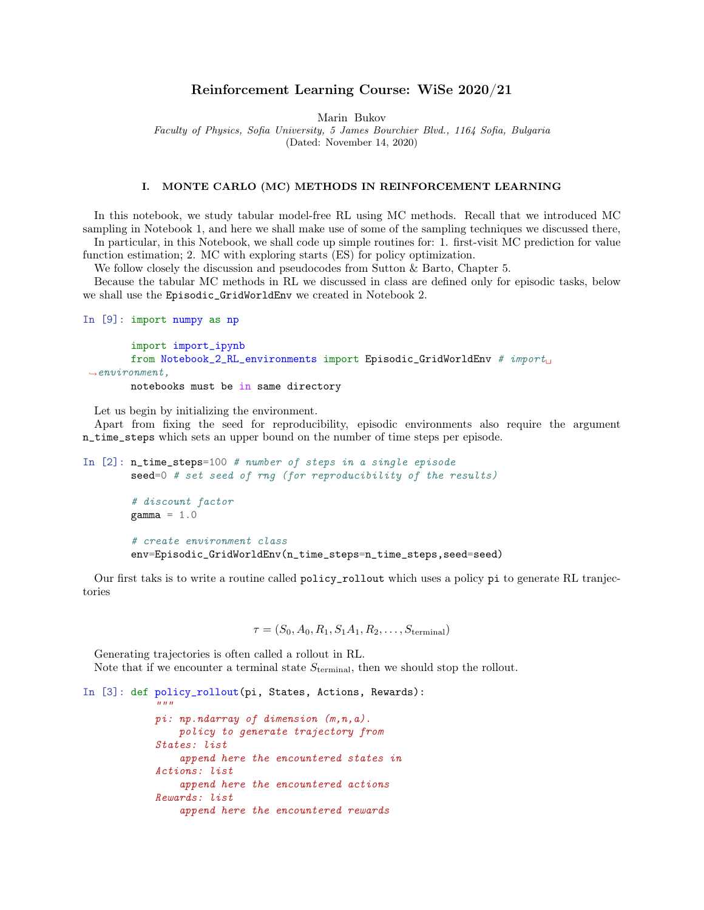## Reinforcement Learning Course: WiSe 2020/21

Marin Bukov

Faculty of Physics, Sofia University, 5 James Bourchier Blvd., 1164 Sofia, Bulgaria

(Dated: November 14, 2020)

### I. MONTE CARLO (MC) METHODS IN REINFORCEMENT LEARNING

In this notebook, we study tabular model-free RL using MC methods. Recall that we introduced MC sampling in Notebook 1, and here we shall make use of some of the sampling techniques we discussed there, In particular, in this Notebook, we shall code up simple routines for: 1. first-visit MC prediction for value function estimation; 2. MC with exploring starts (ES) for policy optimization.

We follow closely the discussion and pseudocodes from Sutton & Barto, Chapter 5.

Because the tabular MC methods in RL we discussed in class are defined only for episodic tasks, below we shall use the Episodic\_GridWorldEnv we created in Notebook 2.

```
In [9]: import numpy as np
        import import_ipynb
        from Notebook_2_RL_environments import Episodic_GridWorldEnv # import
 \rightarrowenvironment,
        notebooks must be in same directory
```
Let us begin by initializing the environment.

Apart from fixing the seed for reproducibility, episodic environments also require the argument n\_time\_steps which sets an upper bound on the number of time steps per episode.

```
In [2]: n_time_steps=100 # number of steps in a single episode
        seed=0 # set seed of rng (for reproducibility of the results)
        # discount factor
        gamma = 1.0# create environment class
        env=Episodic_GridWorldEnv(n_time_steps=n_time_steps,seed=seed)
```
Our first taks is to write a routine called policy\_rollout which uses a policy pi to generate RL tranjectories

 $\tau = (S_0, A_0, R_1, S_1A_1, R_2, \ldots, S_{\text{terminal}})$ 

Generating trajectories is often called a rollout in RL. Note that if we encounter a terminal state  $S_{\text{terminal}}$ , then we should stop the rollout.

```
In [3]: def policy_rollout(pi, States, Actions, Rewards):
            """
            pi: np.ndarray of dimension (m,n,a).
                policy to generate trajectory from
            States: list
                append here the encountered states in
            Actions: list
                append here the encountered actions
            Rewards: list
                append here the encountered rewards
```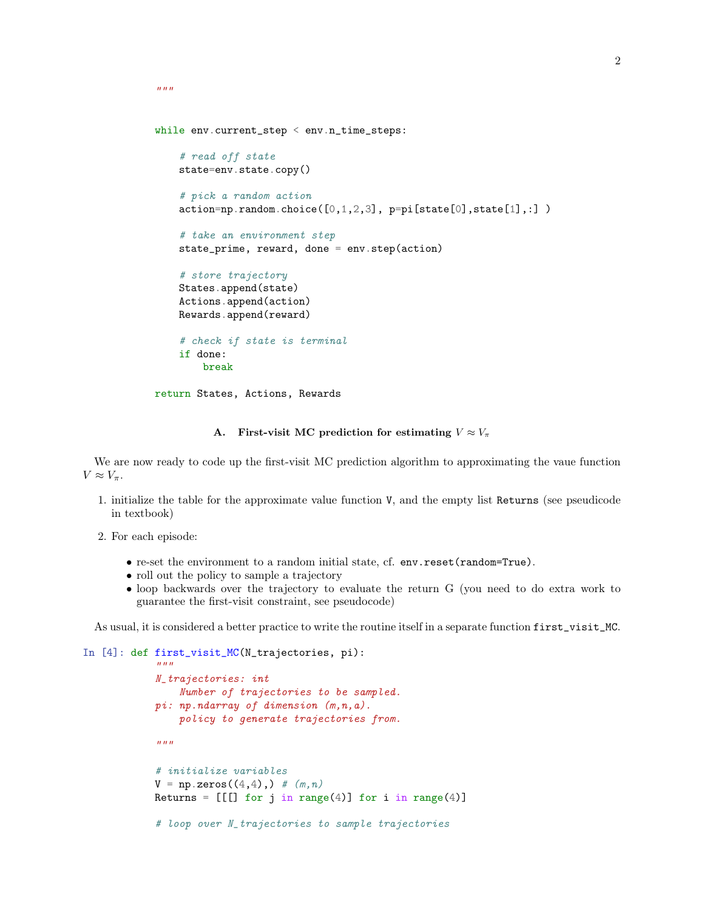```
while env.current_step < env.n_time_steps:
    # read off state
    state=env.state.copy()
    # pick a random action
    action=np.random choice([0,1,2,3], pp=pi[state[0],state[1],:])# take an environment step
    state_prime, reward, done = env.step(action)
    # store trajectory
    States.append(state)
    Actions.append(action)
    Rewards.append(reward)
    # check if state is terminal
    if done:
       break
return States, Actions, Rewards
```
### A. First-visit MC prediction for estimating  $V \approx V_{\pi}$

We are now ready to code up the first-visit MC prediction algorithm to approximating the vaue function  $V \approx V_{\pi}$ .

- 1. initialize the table for the approximate value function V, and the empty list Returns (see pseudicode in textbook)
- 2. For each episode:

 $"''"$ 

 $"''"$ 

- re-set the environment to a random initial state, cf. env.reset(random=True).
- roll out the policy to sample a trajectory
- loop backwards over the trajectory to evaluate the return G (you need to do extra work to guarantee the first-visit constraint, see pseudocode)

As usual, it is considered a better practice to write the routine itself in a separate function first\_visit\_MC.

```
In [4]: def first_visit_MC(N_trajectories, pi):
```

```
N_trajectories: int
    Number of trajectories to be sampled.
pi: np.ndarray of dimension (m,n,a).
    policy to generate trajectories from.
\overline{u}""
# initialize variables
V = np{\text{.zeros}}((4, 4), ) # (m, n)Returns = [[[] for j in range(4)] for i in range(4)]# loop over N_trajectories to sample trajectories
```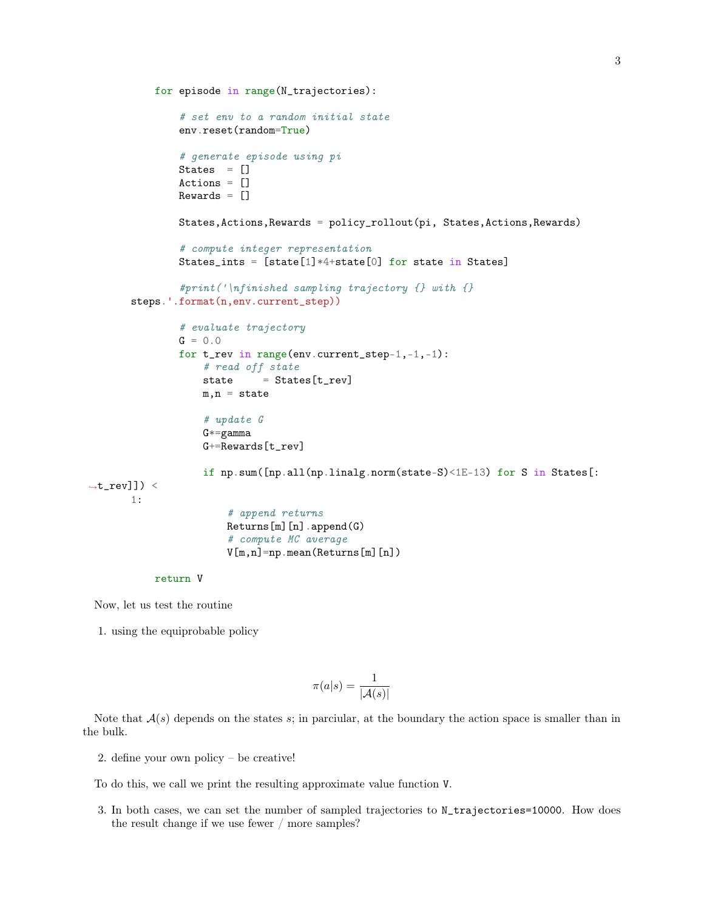```
for episode in range(N_trajectories):
               # set env to a random initial state
               env.reset(random=True)
               # generate episode using pi
               States = []
               Actions = []Rewards = []States,Actions,Rewards = policy_rollout(pi, States,Actions,Rewards)
               # compute integer representation
               States_ints = [state[1]*4+state[0] for state in States]
               #print('\nfinished sampling trajectory {} with {}
       steps.'.format(n,env.current_step))
               # evaluate trajectory
               G = 0.0for t_rev in range(env.current_step-1,-1,-1):
                   # read off state
                   state = States[t\_rev]m, n = state# update G
                   G*=gammaamma
                   G+=Rewards[t_rev]
                   if np.sum([np.all(np.linalg.norm(state-S)<1E-13) for S in States[:
\rightarrow t_{rev}]) <
      1:
                        # append returns
                       Returns[m][n].append(G)
                        # compute MC average
                       V[m,n]=np.mean(Returns[m][n])
```

```
return V
```
Now, let us test the routine

1. using the equiprobable policy

$$
\pi(a|s) = \frac{1}{|\mathcal{A}(s)|}
$$

Note that  $A(s)$  depends on the states s; in parciular, at the boundary the action space is smaller than in the bulk.

2. define your own policy – be creative!

To do this, we call we print the resulting approximate value function V.

3. In both cases, we can set the number of sampled trajectories to N\_trajectories=10000. How does the result change if we use fewer / more samples?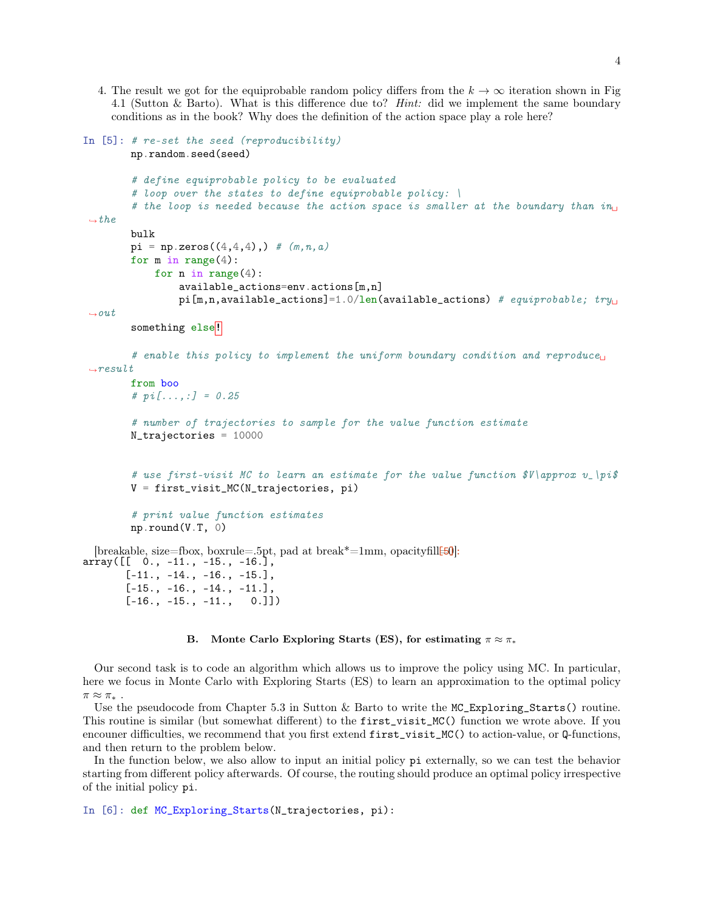4. The result we got for the equiprobable random policy differs from the  $k \to \infty$  iteration shown in Fig. 4.1 (Sutton & Barto). What is this difference due to? Hint: did we implement the same boundary conditions as in the book? Why does the definition of the action space play a role here?

```
In [5]: # re-set the seed (reproducibility)
        np.random.seed(seed)
         # define equiprobable policy to be evaluated
         # loop over the states to define equiprobable policy: \
         # the loop is needed because the action space is smaller at the boundary than in_{\square}\rightarrowthe
        bulk
        pi = np{\text{.zeros}}((4,4,4),) \neq (m,n,a)for m in range(4):
             for n in range(4):
                  available_actions=env.actions[m,n]
                  pi[m,n,available_actions]=1.0/len(available_actions) # equiprobable; try_{\text{L}}\rightarrowout
         something else<sup>!</sup>
         # enable this policy to implement the uniform boundary condition and reproduce<sub>U</sub>
 \rightarrowresult
         from boo
         # pi[...,:] = 0.25# number of trajectories to sample for the value function estimate
        N_trajectories = 10000
```

```
# use first-visit MC to learn an estimate for the value function \mathcal{F}V\approx v_\pi\mathcal{F}V = first_visit_MC(N_trajectories, pi)
```

```
# print value function estimates
np.round(V.T, 0)
```
[breakable, size=fbox, boxrule=.5pt, pad at break\*=1mm, opacityfill $[50]$ :  $array([$   $[$   $0.$ ,  $-11.$ ,  $-15.$ ,  $-16.]$ ,  $[-11., -14., -16., -15.],$  $[-15., -16., -14., -11.],$  $[-16., -15., -11., 0.]$ 

#### B. Monte Carlo Exploring Starts (ES), for estimating  $\pi \approx \pi_*$

Our second task is to code an algorithm which allows us to improve the policy using MC. In particular, here we focus in Monte Carlo with Exploring Starts (ES) to learn an approximation to the optimal policy  $\pi \approx \pi_*$ .

Use the pseudocode from Chapter 5.3 in Sutton & Barto to write the MC\_Exploring\_Starts() routine. This routine is similar (but somewhat different) to the first\_visit\_MC() function we wrote above. If you encouner difficulties, we recommend that you first extend first\_visit\_MC() to action-value, or Q-functions, and then return to the problem below.

In the function below, we also allow to input an initial policy pi externally, so we can test the behavior starting from different policy afterwards. Of course, the routing should produce an optimal policy irrespective of the initial policy pi.

```
In [6]: def MC_Exploring_Starts(N_trajectories, pi):
```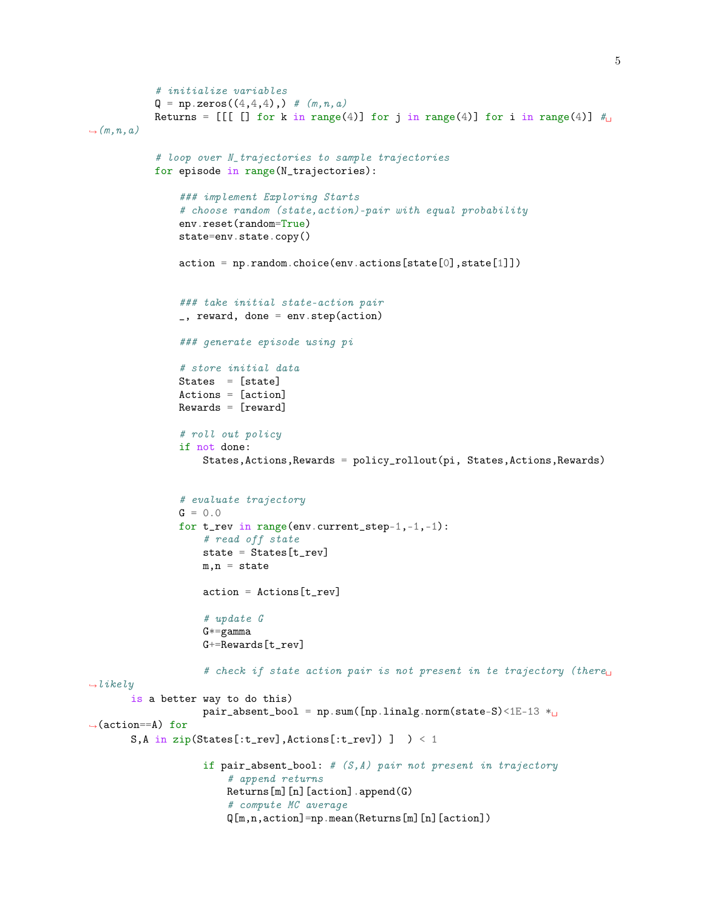```
# initialize variables
           Q = np{\text{.zeros}}((4, 4, 4), ) \# (m, n, a)Returns = [[[]] for k in range(4)] for j in range(4)] for i in range(4)] \#\hookrightarrow (m,n,a)# loop over N_trajectories to sample trajectories
           for episode in range(N_trajectories):
                ### implement Exploring Starts
                # choose random (state,action)-pair with equal probability
                env.reset(random=True)
                state=env.state.copy()
                action = np.random.choice(env.actions[state[0],state[1]])
                ### take initial state-action pair
                _, reward, done = env.step(action)
                ### generate episode using pi
                # store initial data
               States = [state]
                Actions = [action]
               Rewards = [reward]
                # roll out policy
                if not done:
                    States,Actions,Rewards = policy_rollout(pi, States,Actions,Rewards)
                # evaluate trajectory
                G = 0.0for t_rev in range(env.current_step-1,-1,-1):
                    # read off state
                    state = States [trev]
                    m, n = stateaction = Actions[t_rev]
                    # update G
                    G*=gammaamma
                    G+=Rewards[t_rev]
                    # check if state action pair is not present in te trajectory (there
\rightarrowlikely
       is a better way to do this)
                    pair_absent_bool = np.sum([np.linalg.norm(state-S)<1E-13 *<sub>U</sub>\rightarrow(action==A) for
       S, A in zip(States[:t_rev], Actions[:t_rev]) ] \rightarrow < 1
                    if pair\_absent\_bool: # (S, A) pair not present in trajectory
                        # append returns
                        Returns[m][n][action].append(G)
                        # compute MC average
                        Q[m,n,action]=np.mean(Returns[m][n][action])
```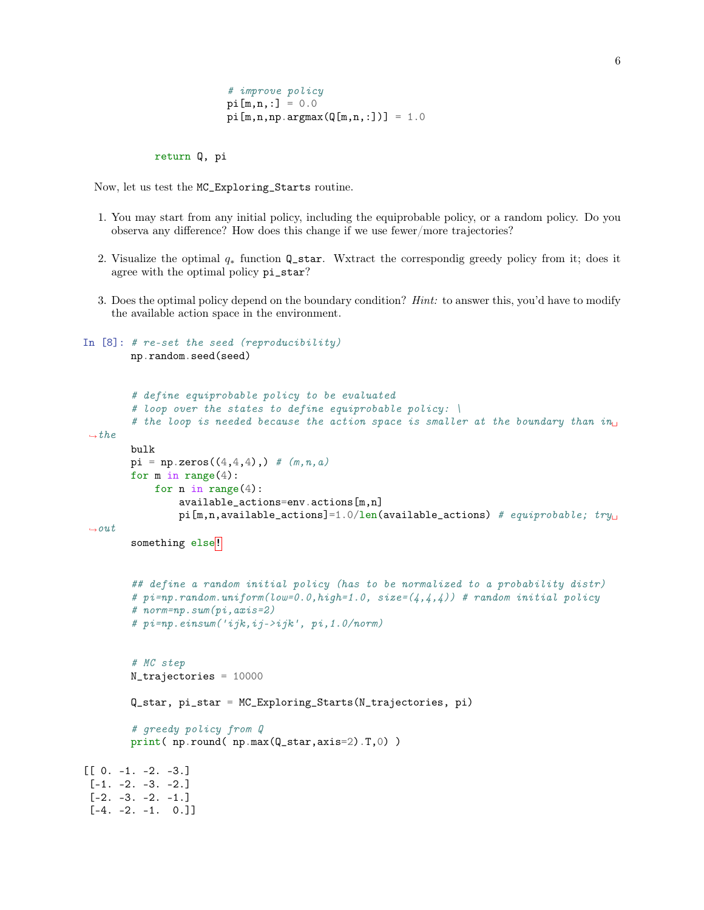```
# improve policy
pi[m,n,:] = 0.0pi[m,n,np.\argmax(Q[m,n,:])) = 1.0
```
return Q, pi

Now, let us test the MC\_Exploring\_Starts routine.

- 1. You may start from any initial policy, including the equiprobable policy, or a random policy. Do you observa any difference? How does this change if we use fewer/more trajectories?
- 2. Visualize the optimal q<sup>∗</sup> function Q\_star. Wxtract the correspondig greedy policy from it; does it agree with the optimal policy pi\_star?
- 3. Does the optimal policy depend on the boundary condition? Hint: to answer this, you'd have to modify the available action space in the environment.

```
In [8]: # re-set the seed (reproducibility)
        np.random.seed(seed)
        # define equiprobable policy to be evaluated
        # loop over the states to define equiprobable policy: \
        # the loop is needed because the action space is smaller at the boundary than in_{\text{L}}ightharpoonupbulk
        pi = np{\text{.zeros}}((4,4,4),) # (m,n,a)for m in range(4):
            for n in range(4):
                 available_actions=env.actions[m,n]
                 pi[m,n,available__actions]=1.0/len(available_actions) # equiprobable; try_{\text{L}}\rightarrowout
        something else<sup>!</sup>
        ## define a random initial policy (has to be normalized to a probability distr)
        # pi = np.random.uniform(low=0.0, high=1.0, size=(4,4,4)) # random initial policy
        # norm=np.sum(pi,axis=2)
        # pi=np.einsum('ijk,ij->ijk', pi,1.0/norm)
        # MC step
        N_trajectories = 10000
        Q_star, pi_star = MC_Exploring_Starts(N_trajectories, pi)
        # greedy policy from Q
        print( np.round( np.max(Q_star,axis=2).T,0) )
[[ 0. -1. -2. -3.]
[-1. -2. -3. -2.][-2. -3. -2. -1.][-4, -2, -1, 0.]
```